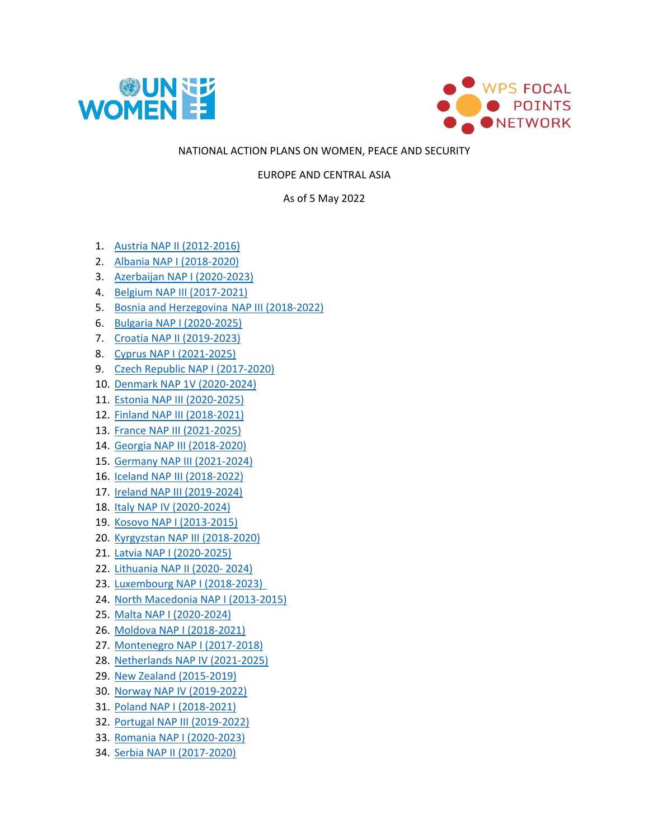



## NATIONAL ACTION PLANS ON WOMEN, PEACE AND SECURITY

EUROPE AND CENTRAL ASIA

As of 5 May 2022

- 1. [Austria NAP II \(2012-2016\)](https://wpsfocalpointsnetwork.org/wp-content/uploads/2021/07/Austria-2012-2016.pdf)
- 2. [Albania NAP I \(2018-2020\)](https://wpsfocalpointsnetwork.org/wp-content/uploads/2021/07/Albania-2018-2020.pdf)
- 3. [Azerbaijan NAP I \(2020-2023\)](https://wpsfocalpointsnetwork.org/wp-content/uploads/2021/07/Azerbaijan-2020-2023.pdf)
- 4. [Belgium NAP III \(2017-2021\)](https://wpsfocalpointsnetwork.org/wp-content/uploads/2021/07/Belgium-2017-2021.pdf)
- 5. [Bosnia and Herzegovina](https://wpsfocalpointsnetwork.org/wp-content/uploads/2021/07/Bosnia-and-Herzegovina-2018-2022.pdf) NAP III (2018-2022)
- 6. [Bulgaria NAP I \(2020-2025\)](https://wpsfocalpointsnetwork.org/wp-content/uploads/2021/07/Bulgaria-2020-2025.pdf)
- 7. [Croatia NAP II \(2019-2023\)](https://wpsfocalpointsnetwork.org/wp-content/uploads/2021/07/Croatia-2019-2023.pdf)
- 8. [Cyprus NAP I \(2021-2025\)](https://wpsfocalpointsnetwork.org/wp-content/uploads/2021/07/Cyprus-2021-2026.pdf)
- 9. [Czech Republic NAP I \(2017-2020\)](https://wpsfocalpointsnetwork.org/wp-content/uploads/2021/07/Czech-Republic-2017-2020.pdf)
- 10. [Denmark NAP 1V \(2020-2024\)](https://wpsfocalpointsnetwork.org/wp-content/uploads/2022/05/danish-national-action-plan-on-wps-.pdf)
- 11. [Estonia NAP III \(2020-2025\)](https://wpsfocalpointsnetwork.org/wp-content/uploads/2021/12/EE-NAP-Women-Peace-Security-2020-2025-ENG.pdf)
- 12. [Finland NAP III \(2018-2021\)](https://wpsfocalpointsnetwork.org/wp-content/uploads/2021/07/Finland-2018-2021.pdf)
- 13. [France NAP III \(2021-2025\)](https://wpsfocalpointsnetwork.org/wp-content/uploads/2021/10/France-NAP-3-on-WPS-2021-2025.pdf)
- 14. [Georgia NAP III \(2018-2020\)](https://wpsfocalpointsnetwork.org/wp-content/uploads/2021/07/Georgia-2018-2020.pdf)
- 15. [Germany NAP III \(2021-2024\)](https://wpsfocalpointsnetwork.org/wp-content/uploads/2021/07/Germany-2021-2024.pdf)
- 16. [Iceland NAP III \(2018-2022\)](https://wpsfocalpointsnetwork.org/wp-content/uploads/2021/07/Iceland-2018-2022.pdf)
- 17. Ireland [NAP III \(2019-2024\)](https://wpsfocalpointsnetwork.org/wp-content/uploads/2021/07/Ireland-2019-2024.pdf)
- 18. Italy [NAP IV \(2020-2024\)](https://wpsfocalpointsnetwork.org/wp-content/uploads/2021/07/Italy-2020-2024.pdf)
- 19. [Kosovo NAP I \(2013-2015\)](https://wpsfocalpointsnetwork.org/wp-content/uploads/2021/07/Kosovo-2013-2015.pdf)
- 20. Kyrgyzstan [NAP III \(2018-2020\)](https://wpsfocalpointsnetwork.org/wp-content/uploads/2021/07/Kyrgyzstan-2018-2022.pdf)
- 21. Latvia [NAP I \(2020-2025\)](https://wpsfocalpointsnetwork.org/wp-content/uploads/2021/07/Latvia-2020-2025.pdf)
- 22. [Lithuania NAP II \(2020-](https://wpsfocalpointsnetwork.org/wp-content/uploads/2022/03/Lithuania-2020-2024-1.pdf) 2024)
- 23. Luxembourg [NAP I \(2018-2023\)](https://wpsfocalpointsnetwork.org/wp-content/uploads/2021/07/Luxembourg-2018-2023.pdf)
- 24. [North Macedonia NAP I \(2013-2015\)](https://wpsfocalpointsnetwork.org/wp-content/uploads/2021/07/Macedonia-2012.pdf)
- 25. [Malta NAP I \(2020-2024\)](https://wpsfocalpointsnetwork.org/wp-content/uploads/2021/07/Malta-2020-2024.pdf)
- 26. [Moldova NAP I \(2018-2021\)](https://wpsfocalpointsnetwork.org/wp-content/uploads/2021/07/Moldova-2018-2021.pdf)
- 27. [Montenegro NAP I \(2017-2018\)](https://wpsfocalpointsnetwork.org/wp-content/uploads/2021/07/Moldova-2018-2021.pdf)
- 28. Netherlands [NAP IV \(2021-2025\)](https://wpsfocalpointsnetwork.org/wp-content/uploads/2021/07/Netherlands-2021-2025.pdf)
- 29. [New Zealand \(2015-2019\)](https://wpsfocalpointsnetwork.org/wp-content/uploads/2021/07/New-Zealand-2015-2019.pdf)
- 30. [Norway NAP IV \(2019-2022\)](https://wpsfocalpointsnetwork.org/wp-content/uploads/2021/07/Norway-2019-2022.pdf)
- 31. [Poland NAP I \(2018-2021\)](https://wpsfocalpointsnetwork.org/wp-content/uploads/2021/07/Poland-2018-2021.pdf)
- 32. [Portugal NAP III \(2019-2022\)](https://wpsfocalpointsnetwork.org/wp-content/uploads/2022/02/Portugal-2019-NAP-3-2019-2022-English-translation-DP160100212.pdf)
- 33. [Romania NAP I \(2020-2023\)](https://wpsfocalpointsnetwork.org/wp-content/uploads/2021/07/Romania-2020-2023.pdf)
- 34. Serbia [NAP II \(2017-2020\)](https://wpsfocalpointsnetwork.org/wp-content/uploads/2021/07/Serbia-2017-2020.pdf)